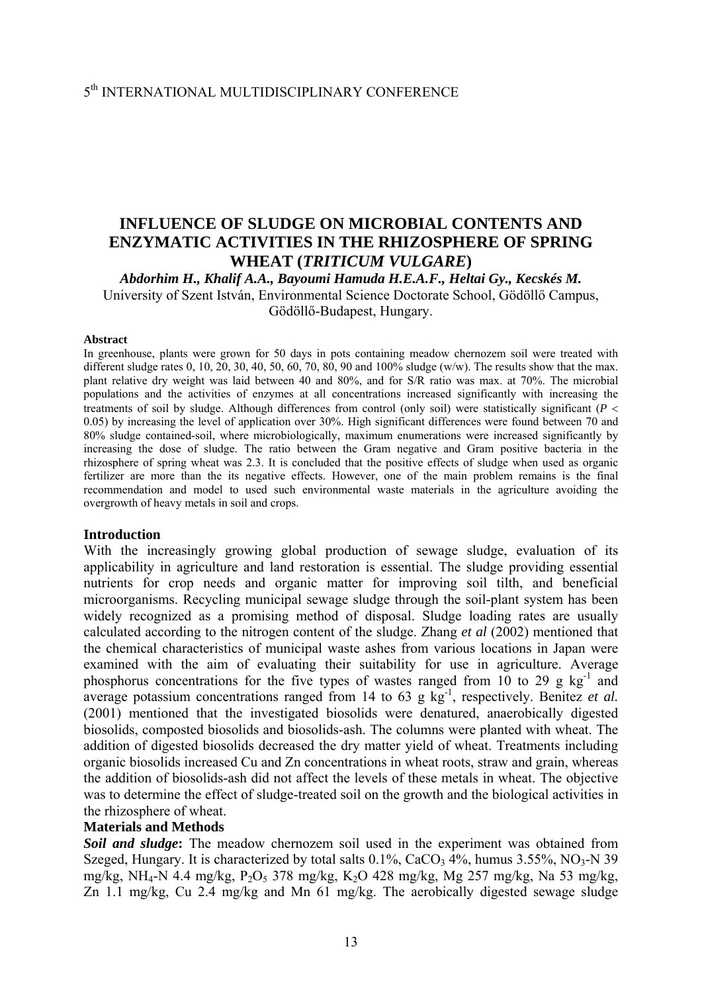## 5th INTERNATIONAL MULTIDISCIPLINARY CONFERENCE

# **INFLUENCE OF SLUDGE ON MICROBIAL CONTENTS AND ENZYMATIC ACTIVITIES IN THE RHIZOSPHERE OF SPRING WHEAT (***TRITICUM VULGARE***)**

*Abdorhim H., Khalif A.A., Bayoumi Hamuda H.E.A.F., Heltai Gy., Kecskés M.*  University of Szent István, Environmental Science Doctorate School, Gödöllő Campus, Gödöllő-Budapest, Hungary.

#### **Abstract**

In greenhouse, plants were grown for 50 days in pots containing meadow chernozem soil were treated with different sludge rates 0, 10, 20, 30, 40, 50, 60, 70, 80, 90 and 100% sludge (w/w). The results show that the max. plant relative dry weight was laid between 40 and 80%, and for S/R ratio was max. at 70%. The microbial populations and the activities of enzymes at all concentrations increased significantly with increasing the treatments of soil by sludge. Although differences from control (only soil) were statistically significant (*P* < 0.05) by increasing the level of application over 30%. High significant differences were found between 70 and 80% sludge contained-soil, where microbiologically, maximum enumerations were increased significantly by increasing the dose of sludge. The ratio between the Gram negative and Gram positive bacteria in the rhizosphere of spring wheat was 2.3. It is concluded that the positive effects of sludge when used as organic fertilizer are more than the its negative effects. However, one of the main problem remains is the final recommendation and model to used such environmental waste materials in the agriculture avoiding the overgrowth of heavy metals in soil and crops.

#### **Introduction**

With the increasingly growing global production of sewage sludge, evaluation of its applicability in agriculture and land restoration is essential. The sludge providing essential nutrients for crop needs and organic matter for improving soil tilth, and beneficial microorganisms. Recycling municipal sewage sludge through the soil-plant system has been widely recognized as a promising method of disposal. Sludge loading rates are usually calculated according to the nitrogen content of the sludge. Zhang *et al* (2002) mentioned that the chemical characteristics of municipal waste ashes from various locations in Japan were examined with the aim of evaluating their suitability for use in agriculture. Average phosphorus concentrations for the five types of wastes ranged from 10 to 29 g  $kg^{-1}$  and average potassium concentrations ranged from 14 to 63 g  $kg^{-1}$ , respectively. Benitez *et al.* (2001) mentioned that the investigated biosolids were denatured, anaerobically digested biosolids, composted biosolids and biosolids-ash. The columns were planted with wheat. The addition of digested biosolids decreased the dry matter yield of wheat. Treatments including organic biosolids increased Cu and Zn concentrations in wheat roots, straw and grain, whereas the addition of biosolids-ash did not affect the levels of these metals in wheat. The objective was to determine the effect of sludge-treated soil on the growth and the biological activities in the rhizosphere of wheat.

#### **Materials and Methods**

*Soil and sludge***:** The meadow chernozem soil used in the experiment was obtained from Szeged, Hungary. It is characterized by total salts  $0.1\%$ , CaCO<sub>3</sub>  $4\%$ , humus 3.55%, NO<sub>3</sub>-N 39 mg/kg, NH4-N 4.4 mg/kg, P2O5 378 mg/kg, K2O 428 mg/kg, Mg 257 mg/kg, Na 53 mg/kg, Zn 1.1 mg/kg, Cu 2.4 mg/kg and Mn 61 mg/kg. The aerobically digested sewage sludge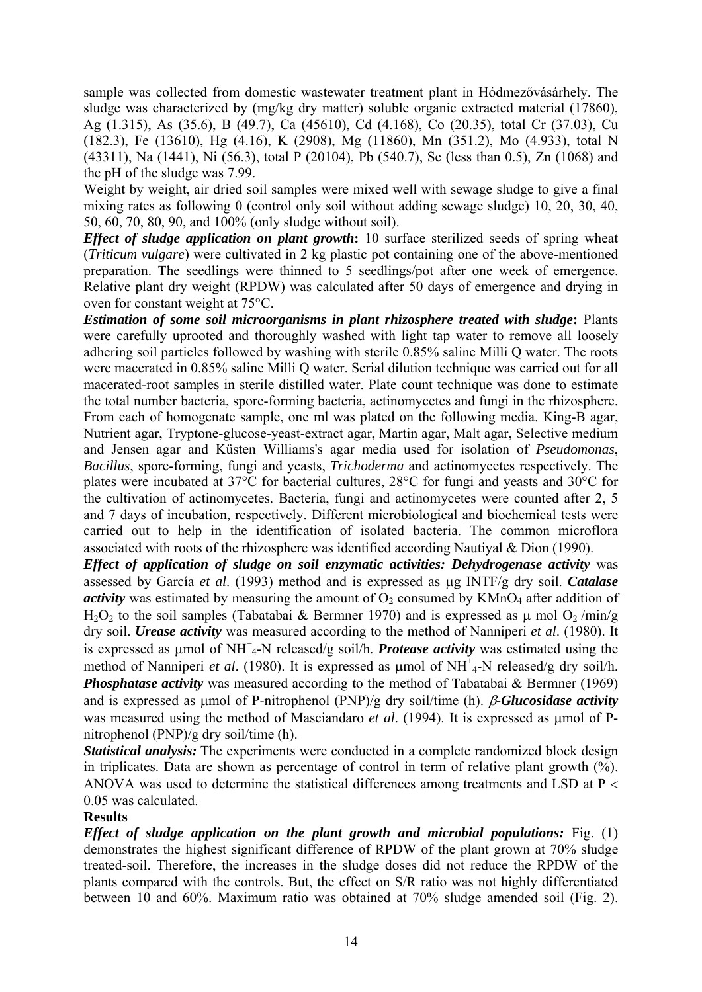sample was collected from domestic wastewater treatment plant in Hódmezővásárhely. The sludge was characterized by (mg/kg dry matter) soluble organic extracted material (17860), Ag (1.315), As (35.6), B (49.7), Ca (45610), Cd (4.168), Co (20.35), total Cr (37.03), Cu (182.3), Fe (13610), Hg (4.16), K (2908), Mg (11860), Mn (351.2), Mo (4.933), total N (43311), Na (1441), Ni (56.3), total P (20104), Pb (540.7), Se (less than 0.5), Zn (1068) and the pH of the sludge was 7.99.

Weight by weight, air dried soil samples were mixed well with sewage sludge to give a final mixing rates as following 0 (control only soil without adding sewage sludge) 10, 20, 30, 40, 50, 60, 70, 80, 90, and 100% (only sludge without soil).

*Effect of sludge application on plant growth:* 10 surface sterilized seeds of spring wheat (*Triticum vulgare*) were cultivated in 2 kg plastic pot containing one of the above-mentioned preparation. The seedlings were thinned to 5 seedlings/pot after one week of emergence. Relative plant dry weight (RPDW) was calculated after 50 days of emergence and drying in oven for constant weight at 75°C.

*Estimation of some soil microorganisms in plant rhizosphere treated with sludge***:** Plants were carefully uprooted and thoroughly washed with light tap water to remove all loosely adhering soil particles followed by washing with sterile 0.85% saline Milli Q water. The roots were macerated in 0.85% saline Milli Q water. Serial dilution technique was carried out for all macerated-root samples in sterile distilled water. Plate count technique was done to estimate the total number bacteria, spore-forming bacteria, actinomycetes and fungi in the rhizosphere. From each of homogenate sample, one ml was plated on the following media. King-B agar, Nutrient agar, Tryptone-glucose-yeast-extract agar, Martin agar, Malt agar, Selective medium and Jensen agar and Küsten Williams's agar media used for isolation of *Pseudomonas*, *Bacillus*, spore-forming, fungi and yeasts, *Trichoderma* and actinomycetes respectively. The plates were incubated at 37°C for bacterial cultures, 28°C for fungi and yeasts and 30°C for the cultivation of actinomycetes. Bacteria, fungi and actinomycetes were counted after 2, 5 and 7 days of incubation, respectively. Different microbiological and biochemical tests were carried out to help in the identification of isolated bacteria. The common microflora associated with roots of the rhizosphere was identified according Nautiyal & Dion (1990).

*Effect of application of sludge on soil enzymatic activities: Dehydrogenase activity* was assessed by García *et al*. (1993) method and is expressed as μg INTF/g dry soil. *Catalase activity* was estimated by measuring the amount of  $O_2$  consumed by  $KMnO_4$  after addition of H<sub>2</sub>O<sub>2</sub> to the soil samples (Tabatabai & Bermner 1970) and is expressed as u mol O<sub>2</sub>/min/g dry soil. *Urease activity* was measured according to the method of Nanniperi *et al*. (1980). It is expressed as μmol of NH<sup>+</sup><sub>4</sub>-N released/g soil/h. *Protease activity* was estimated using the method of Nanniperi *et al.* (1980). It is expressed as μmol of NH<sup>+</sup><sub>4</sub>-N released/g dry soil/h. *Phosphatase activity* was measured according to the method of Tabatabai & Bermner (1969) and is expressed as μmol of P-nitrophenol (PNP)/g dry soil/time (h). β*-Glucosidase activity* was measured using the method of Masciandaro *et al*. (1994). It is expressed as μmol of Pnitrophenol (PNP)/g dry soil/time (h).

*Statistical analysis:* The experiments were conducted in a complete randomized block design in triplicates. Data are shown as percentage of control in term of relative plant growth (%). ANOVA was used to determine the statistical differences among treatments and LSD at P < 0.05 was calculated.

### **Results**

*Effect of sludge application on the plant growth and microbial populations:* Fig. (1) demonstrates the highest significant difference of RPDW of the plant grown at 70% sludge treated-soil. Therefore, the increases in the sludge doses did not reduce the RPDW of the plants compared with the controls. But, the effect on S/R ratio was not highly differentiated between 10 and 60%. Maximum ratio was obtained at 70% sludge amended soil (Fig. 2).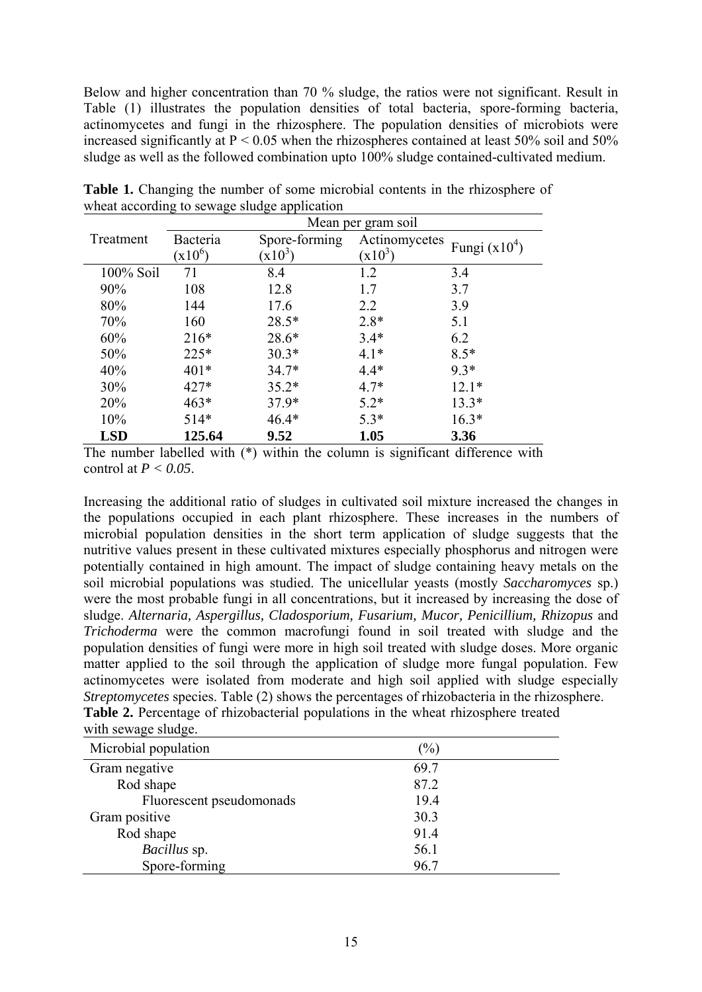Below and higher concentration than 70 % sludge, the ratios were not significant. Result in Table (1) illustrates the population densities of total bacteria, spore-forming bacteria, actinomycetes and fungi in the rhizosphere. The population densities of microbiots were increased significantly at  $P < 0.05$  when the rhizospheres contained at least 50% soil and 50% sludge as well as the followed combination upto 100% sludge contained-cultivated medium.

|              | Mean per gram soil |               |               |                 |  |  |
|--------------|--------------------|---------------|---------------|-----------------|--|--|
| Treatment    | Bacteria           | Spore-forming | Actinomycetes |                 |  |  |
|              | $(x10^6)$          | $x10^3$       | $(x10^3)$     | Fungi $(x10^4)$ |  |  |
| $100\%$ Soil | 71                 | 8.4           | 1.2           | 3.4             |  |  |
| 90%          | 108                | 12.8          | 1.7           | 3.7             |  |  |
| 80%          | 144                | 17.6          | 2.2           | 3.9             |  |  |
| 70%          | 160                | $28.5*$       | $2.8*$        | 5.1             |  |  |
| 60%          | $216*$             | $28.6*$       | $3.4*$        | 6.2             |  |  |
| 50%          | $225*$             | $30.3*$       | $4.1*$        | $8.5*$          |  |  |
| 40%          | $401*$             | $34.7*$       | $4.4*$        | $9.3*$          |  |  |
| 30%          | $427*$             | $35.2*$       | $4.7*$        | $12.1*$         |  |  |
| 20%          | $463*$             | $37.9*$       | $5.2*$        | $13.3*$         |  |  |
| 10%          | $514*$             | $46.4*$       | $5.3*$        | $16.3*$         |  |  |
| <b>LSD</b>   | 125.64             | 9.52          | 1.05          | 3.36            |  |  |

**Table 1.** Changing the number of some microbial contents in the rhizosphere of wheat according to sewage sludge application

The number labelled with  $(*)$  within the column is significant difference with control at *P < 0.05*.

Increasing the additional ratio of sludges in cultivated soil mixture increased the changes in the populations occupied in each plant rhizosphere. These increases in the numbers of microbial population densities in the short term application of sludge suggests that the nutritive values present in these cultivated mixtures especially phosphorus and nitrogen were potentially contained in high amount. The impact of sludge containing heavy metals on the soil microbial populations was studied. The unicellular yeasts (mostly *Saccharomyces* sp.) were the most probable fungi in all concentrations, but it increased by increasing the dose of sludge. *Alternaria, Aspergillus, Cladosporium, Fusarium, Mucor, Penicillium, Rhizopus* and *Trichoderma* were the common macrofungi found in soil treated with sludge and the population densities of fungi were more in high soil treated with sludge doses. More organic matter applied to the soil through the application of sludge more fungal population. Few actinomycetes were isolated from moderate and high soil applied with sludge especially *Streptomycetes* species. Table (2) shows the percentages of rhizobacteria in the rhizosphere. **Table 2.** Percentage of rhizobacterial populations in the wheat rhizosphere treated with sewage sludge.

| Microbial population     | $(\%)$ |
|--------------------------|--------|
| Gram negative            | 69.7   |
| Rod shape                | 87.2   |
| Fluorescent pseudomonads | 19.4   |
| Gram positive            | 30.3   |
| Rod shape                | 91.4   |
| Bacillus sp.             | 56.1   |
| Spore-forming            | 96.7   |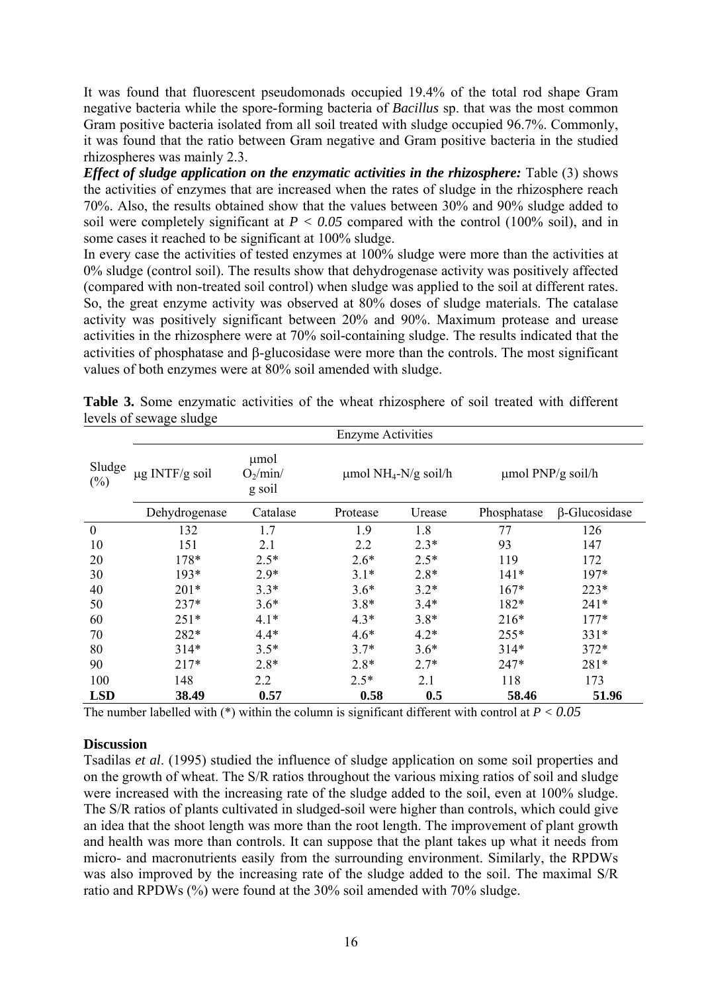It was found that fluorescent pseudomonads occupied 19.4% of the total rod shape Gram negative bacteria while the spore-forming bacteria of *Bacillus* sp. that was the most common Gram positive bacteria isolated from all soil treated with sludge occupied 96.7%. Commonly, it was found that the ratio between Gram negative and Gram positive bacteria in the studied rhizospheres was mainly 2.3.

*Effect of sludge application on the enzymatic activities in the rhizosphere:* Table (3) shows the activities of enzymes that are increased when the rates of sludge in the rhizosphere reach 70%. Also, the results obtained show that the values between 30% and 90% sludge added to soil were completely significant at  $P < 0.05$  compared with the control (100% soil), and in some cases it reached to be significant at 100% sludge.

In every case the activities of tested enzymes at 100% sludge were more than the activities at 0% sludge (control soil). The results show that dehydrogenase activity was positively affected (compared with non-treated soil control) when sludge was applied to the soil at different rates. So, the great enzyme activity was observed at 80% doses of sludge materials. The catalase activity was positively significant between 20% and 90%. Maximum protease and urease activities in the rhizosphere were at 70% soil-containing sludge. The results indicated that the activities of phosphatase and β-glucosidase were more than the controls. The most significant values of both enzymes were at 80% soil amended with sludge.

|                  | <b>Enzyme Activities</b> |                              |                                       |        |                        |                      |  |
|------------------|--------------------------|------------------------------|---------------------------------------|--------|------------------------|----------------------|--|
| Sludge<br>$(\%)$ | $\mu$ g INTF/g soil      | µmol<br>$O_2/min/$<br>g soil | $\mu$ mol NH <sub>4</sub> -N/g soil/h |        | $\mu$ mol PNP/g soil/h |                      |  |
|                  | Dehydrogenase            | Catalase                     | Protease                              | Urease | Phosphatase            | $\beta$ -Glucosidase |  |
| $\mathbf{0}$     | 132                      | 1.7                          | 1.9                                   | 1.8    | 77                     | 126                  |  |
| 10               | 151                      | 2.1                          | 2.2                                   | $2.3*$ | 93                     | 147                  |  |
| 20               | 178*                     | $2.5*$                       | $2.6*$                                | $2.5*$ | 119                    | 172                  |  |
| 30               | $193*$                   | $2.9*$                       | $3.1*$                                | $2.8*$ | $141*$                 | $197*$               |  |
| 40               | $201*$                   | $3.3*$                       | $3.6*$                                | $3.2*$ | $167*$                 | $223*$               |  |
| 50               | $237*$                   | $3.6*$                       | $3.8*$                                | $3.4*$ | $182*$                 | $241*$               |  |
| 60               | $251*$                   | $4.1*$                       | $4.3*$                                | $3.8*$ | $216*$                 | $177*$               |  |
| 70               | 282*                     | $4.4*$                       | $4.6*$                                | $4.2*$ | $255*$                 | $331*$               |  |
| 80               | $314*$                   | $3.5*$                       | $3.7*$                                | $3.6*$ | $314*$                 | $372*$               |  |
| 90               | $217*$                   | $2.8*$                       | $2.8*$                                | $2.7*$ | $247*$                 | $281*$               |  |
| 100              | 148                      | 2.2                          | $2.5*$                                | 2.1    | 118                    | 173                  |  |
| <b>LSD</b>       | 38.49                    | 0.57                         | 0.58                                  | 0.5    | 58.46                  | 51.96                |  |

**Table 3.** Some enzymatic activities of the wheat rhizosphere of soil treated with different levels of sewage sludge

The number labelled with (\*) within the column is significant different with control at *P < 0.05*

### **Discussion**

Tsadilas *et al*. (1995) studied the influence of sludge application on some soil properties and on the growth of wheat. The S/R ratios throughout the various mixing ratios of soil and sludge were increased with the increasing rate of the sludge added to the soil, even at 100% sludge. The S/R ratios of plants cultivated in sludged-soil were higher than controls, which could give an idea that the shoot length was more than the root length. The improvement of plant growth and health was more than controls. It can suppose that the plant takes up what it needs from micro- and macronutrients easily from the surrounding environment. Similarly, the RPDWs was also improved by the increasing rate of the sludge added to the soil. The maximal S/R ratio and RPDWs (%) were found at the 30% soil amended with 70% sludge.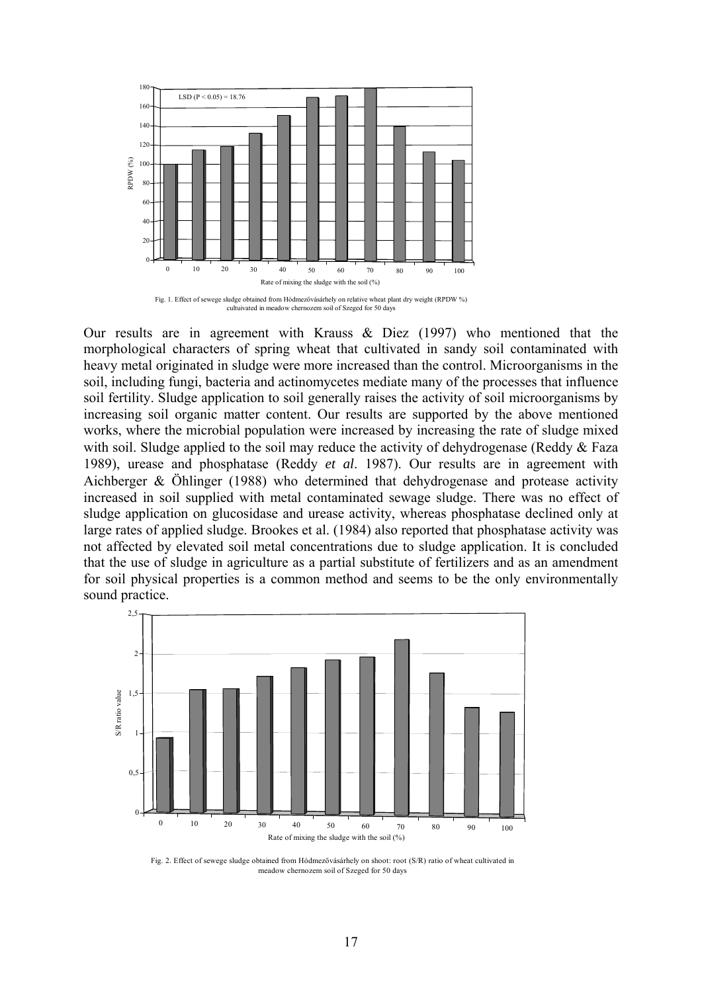

Our results are in agreement with Krauss & Diez (1997) who mentioned that the morphological characters of spring wheat that cultivated in sandy soil contaminated with heavy metal originated in sludge were more increased than the control. Microorganisms in the soil, including fungi, bacteria and actinomycetes mediate many of the processes that influence soil fertility. Sludge application to soil generally raises the activity of soil microorganisms by increasing soil organic matter content. Our results are supported by the above mentioned works, where the microbial population were increased by increasing the rate of sludge mixed with soil. Sludge applied to the soil may reduce the activity of dehydrogenase (Reddy  $&$  Faza 1989), urease and phosphatase (Reddy *et al*. 1987). Our results are in agreement with Aichberger & Öhlinger (1988) who determined that dehydrogenase and protease activity increased in soil supplied with metal contaminated sewage sludge. There was no effect of sludge application on glucosidase and urease activity, whereas phosphatase declined only at large rates of applied sludge. Brookes et al. (1984) also reported that phosphatase activity was not affected by elevated soil metal concentrations due to sludge application. It is concluded that the use of sludge in agriculture as a partial substitute of fertilizers and as an amendment for soil physical properties is a common method and seems to be the only environmentally sound practice.



Fig. 2. Effect of sewege sludge obtained from Hódmezővásárhely on shoot: root (S/R) ratio of wheat cultivated in meadow chernozem soil of Szeged for 50 days